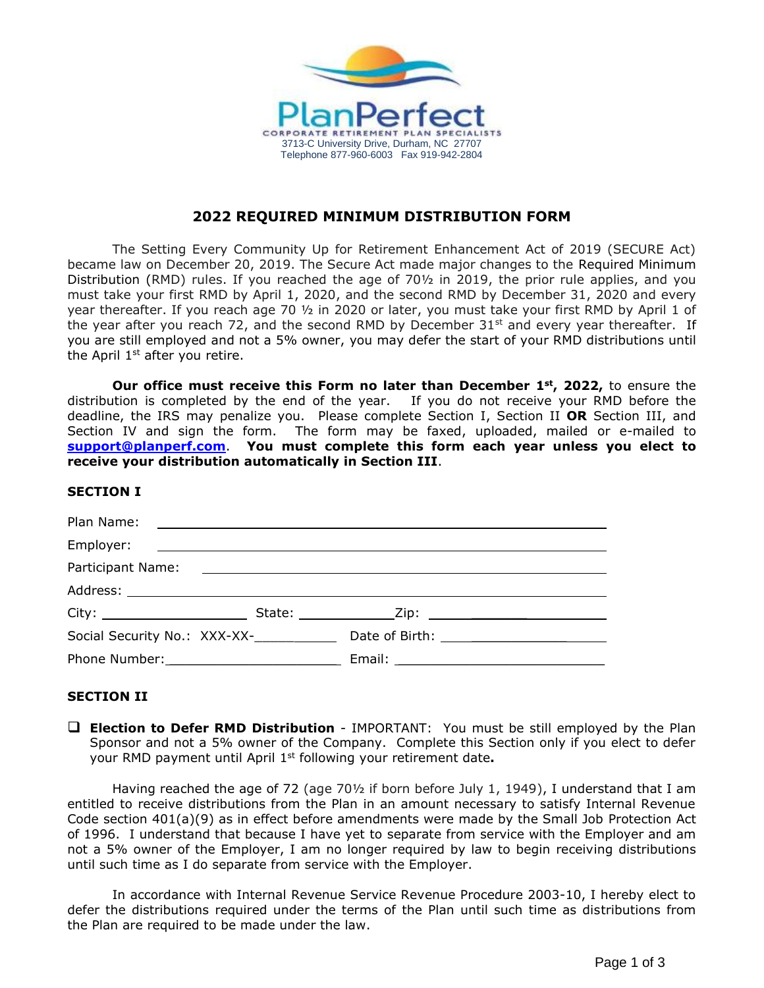

# **2022 REQUIRED MINIMUM DISTRIBUTION FORM**

The Setting Every Community Up for Retirement Enhancement Act of 2019 (SECURE Act) became law on December 20, 2019. The Secure Act made major changes to the Required Minimum Distribution (RMD) rules. If you reached the age of 70½ in 2019, the prior rule applies, and you must take your first RMD by April 1, 2020, and the second RMD by December 31, 2020 and every year thereafter. If you reach age 70 ½ in 2020 or later, you must take your first RMD by April 1 of the year after you reach 72, and the second RMD by December  $31<sup>st</sup>$  and every year thereafter. If you are still employed and not a 5% owner, you may defer the start of your RMD distributions until the April  $1<sup>st</sup>$  after you retire.

**Our office must receive this Form no later than December 1st , 2022,** to ensure the distribution is completed by the end of the year. If you do not receive your RMD before the deadline, the IRS may penalize you. Please complete Section I, Section II **OR** Section III, and Section IV and sign the form. The form may be faxed, uploaded, mailed or e-mailed to **[support@planperf.com](mailto:support@planperf.com)**. **You must complete this form each year unless you elect to receive your distribution automatically in Section III**.

#### **SECTION I**

| Social Security No.: XXX-XX-____________ Date of Birth: ________________________ |  |
|----------------------------------------------------------------------------------|--|
|                                                                                  |  |

## **SECTION II**

❑ **Election to Defer RMD Distribution** - IMPORTANT: You must be still employed by the Plan Sponsor and not a 5% owner of the Company. Complete this Section only if you elect to defer your RMD payment until April 1st following your retirement date**.**

Having reached the age of 72 (age 70½ if born before July 1, 1949), I understand that I am entitled to receive distributions from the Plan in an amount necessary to satisfy Internal Revenue Code section 401(a)(9) as in effect before amendments were made by the Small Job Protection Act of 1996. I understand that because I have yet to separate from service with the Employer and am not a 5% owner of the Employer, I am no longer required by law to begin receiving distributions until such time as I do separate from service with the Employer.

In accordance with Internal Revenue Service Revenue Procedure 2003-10, I hereby elect to defer the distributions required under the terms of the Plan until such time as distributions from the Plan are required to be made under the law.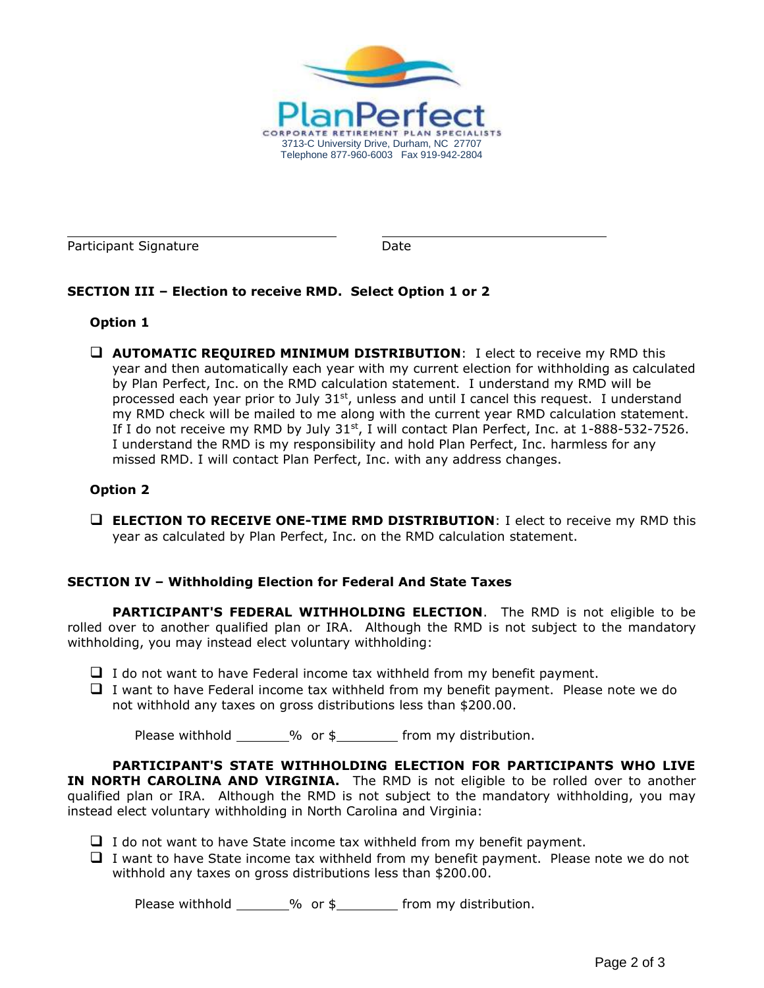

Participant Signature Date

# **SECTION III – Election to receive RMD. Select Option 1 or 2**

### **Option 1**

❑ **AUTOMATIC REQUIRED MINIMUM DISTRIBUTION**: I elect to receive my RMD this year and then automatically each year with my current election for withholding as calculated by Plan Perfect, Inc. on the RMD calculation statement. I understand my RMD will be processed each year prior to July  $31<sup>st</sup>$ , unless and until I cancel this request. I understand my RMD check will be mailed to me along with the current year RMD calculation statement. If I do not receive my RMD by July  $31<sup>st</sup>$ , I will contact Plan Perfect, Inc. at  $1-888-532-7526$ . I understand the RMD is my responsibility and hold Plan Perfect, Inc. harmless for any missed RMD. I will contact Plan Perfect, Inc. with any address changes.

### **Option 2**

❑ **ELECTION TO RECEIVE ONE-TIME RMD DISTRIBUTION**: I elect to receive my RMD this year as calculated by Plan Perfect, Inc. on the RMD calculation statement.

#### **SECTION IV – Withholding Election for Federal And State Taxes**

**PARTICIPANT'S FEDERAL WITHHOLDING ELECTION**. The RMD is not eligible to be rolled over to another qualified plan or IRA. Although the RMD is not subject to the mandatory withholding, you may instead elect voluntary withholding:

- $\Box$  I do not want to have Federal income tax withheld from my benefit payment.
- ❑ I want to have Federal income tax withheld from my benefit payment. Please note we do not withhold any taxes on gross distributions less than \$200.00.

Please withhold  $\_\_\_\_\%$  or  $\frac{1}{2}$  from my distribution.

**PARTICIPANT'S STATE WITHHOLDING ELECTION FOR PARTICIPANTS WHO LIVE IN NORTH CAROLINA AND VIRGINIA.** The RMD is not eligible to be rolled over to another qualified plan or IRA. Although the RMD is not subject to the mandatory withholding, you may instead elect voluntary withholding in North Carolina and Virginia:

- $\Box$  I do not want to have State income tax withheld from my benefit payment.
- ❑ I want to have State income tax withheld from my benefit payment. Please note we do not withhold any taxes on gross distributions less than \$200.00.

Please withhold  $\_\_\_\_\%$  or  $\frac{1}{2}$  from my distribution.